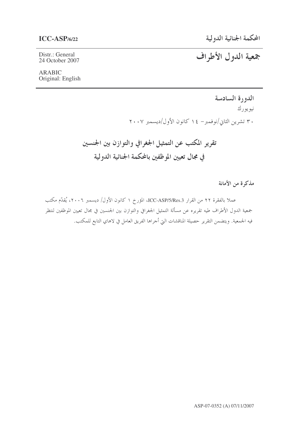# $ICC-ASP/6/22$

Distr.: General 24 October 2007

# جمعية الدول الأطراف

# **ARABIC** Original: English

الدورة السادسة نيويورك ۳۰ تشرین الثانی/نوفمبر– ۱٤ کانون الأول/دیسمبر ۲۰۰۷

تقرير المكتب عن التمثيل الجغرافي والتوازن بين الجنسين في مجال تعيين الموظفين بالمحكمة الجنائية الدولية

مذكرة من الأمانة

عملا بالفقرة ٢٢ من القرار ICC-ASP/5/Res.3، المؤرخ ١ كانون الأول/ ديسمبر ٢٠٠٦، يُقدِّم مكتب جمعية الدول الأطراف طيه تقريره عن مسألة التمثيل الجغرافي والتوازن بين الجنسين في مجال تعيين الموظفين لنتظر فيه الجمعية. ويتضمن التقرير حصيلة المناقشات التي أحراها الفريق العامل في لاهاي التابع للمكتب.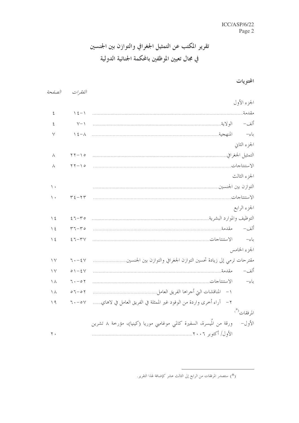# تقرير المكتب عن التمثيل الجغرافي والتوازن بين الجنسين في مجال تعيين الموظفين بالمحكمة الجنائية الدولية

# المحتويات

|                                                                                | الفقيرات                 | الصفحة             |
|--------------------------------------------------------------------------------|--------------------------|--------------------|
| الجزء الأول                                                                    |                          |                    |
| مقدمة                                                                          | $\lambda \xi - \lambda$  | $\boldsymbol{\xi}$ |
| ألف–                                                                           | $Y - Y$                  | ٤                  |
| باءِ–                                                                          | $\lambda \xi - \lambda$  | ٧                  |
| الجزء الثاني                                                                   |                          |                    |
| التمثيل الجغرافي                                                               | $\gamma \gamma - \gamma$ | ٨                  |
|                                                                                | $\gamma \gamma - \gamma$ | ٨                  |
| الجزء الثالث                                                                   |                          |                    |
| التوازن بين الجنسين                                                            |                          | $\langle \cdot$    |
|                                                                                | $\tau$ { $-\tau$ $\tau$  | ۱.                 |
| الجزء الرابع                                                                   |                          |                    |
| التوظيف والموارد البشرية                                                       | $27 - 40$                | $\frac{1}{2}$      |
| ألف–                                                                           | $r - r$                  | $\backslash$ {     |
| الاستنتاجات<br>باءِ–                                                           | $57 - 54$                | $\backslash$ {     |
| الجزء الخامس                                                                   |                          |                    |
| مقترحات ترمي إلى زيادة تحسين التوازن الجغرافي والتوازن بين الجنسين             | $7. - 5V$                | $\vee$             |
| ألف–                                                                           | $0 \big) - \xi V$        | $\vee$             |
| باءِ-                                                                          | $7 \cdot -0.7$           | $\setminus \wedge$ |
|                                                                                | $07 - 07$                | $\setminus \wedge$ |
| ٢ –   آراء أخرى واردة من الوفود غير الممثلة في الفريق العامل في لاهاي          | $7 \cdot -0 \vee$        | $\setminus$ ٩      |
| المرفقات (*)                                                                   |                          |                    |
| ورقة من المُيسرة، السفيرة كالمي موغامبي موريا (كينيا)، مؤرخة ٨ تشرين<br>الأول– |                          |                    |
|                                                                                |                          | $\mathbf{y}$ .     |

<sup>(\*)</sup> ستصدر المرفقات من الرابع إلى الثالث عشر كإضافة لهذا التقرير.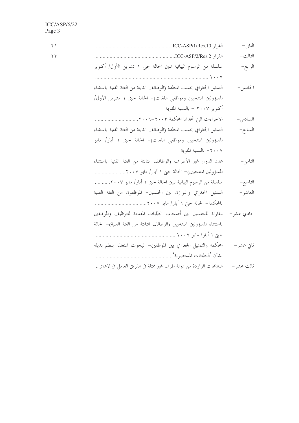| الثاني –   |                                                                         | $\uparrow \uparrow$ |
|------------|-------------------------------------------------------------------------|---------------------|
| الثالث–    |                                                                         | $\tau$              |
| الرابع–    | سلسلة من الرسوم البيانية تبين الحالة حتى ١ تشرين الأول/ أكتوبر          |                     |
|            |                                                                         |                     |
| الخامس –   | التمثيل الجغرافي بحسب المنطقة (الوظائف الثابتة من الفئة الفنية باستثناء |                     |
|            | المسؤولين المنتخبين وموظفي اللغات)– الحالة حتى ١ تشرين الأول/           |                     |
|            |                                                                         |                     |
| السادس –   |                                                                         |                     |
| السابع–    | التمثيل الجغرافي بحسب المنطقة (الوظائف الثابتة من الفئة الفنية باستثناء |                     |
|            | المسؤولين المنتخبين وموظفى اللغات)– الحالة حتى ١ أيار/ مايو             |                     |
|            |                                                                         |                     |
| الثامن–    | عدد الدول غير الأطراف (الوظائف الثابتة من الفئة الفنية باستثناء         |                     |
|            | المسؤولين المنتخبين)– الحالة حتى ١ أيار/ مايو ٢٠٠٧                      |                     |
| التاسع-    | سلسلة من الرسوم البيانية تبين الحالة حتى ١ أيار/ مايو ٢٠٠٧              |                     |
| العاشر –   | التمثيل الجغرافي والتوازن بين الجنسين– الموظفون من الفئة الفنية         |                     |
|            |                                                                         |                     |
| حادي عشر – | مقارنة للجنسين بين أصحاب الطلبات المقدمة للتوظيف والموظفين              |                     |
|            | باستثناء المسؤولين المنتخبين (الوظائف الثابتة من الفئة الفنية)– الحالة  |                     |
|            |                                                                         |                     |
| ثاني عشر–  | المحكمة والتمثيل الجغرافي بين الموظفين– البحوث المتعلقة بنظم بديلة      |                     |
|            |                                                                         |                     |
| ثالث عشر – | البلاغات الواردة من دولة طرف غير ممثلة في الفريق العامل في لاهاي        |                     |
|            |                                                                         |                     |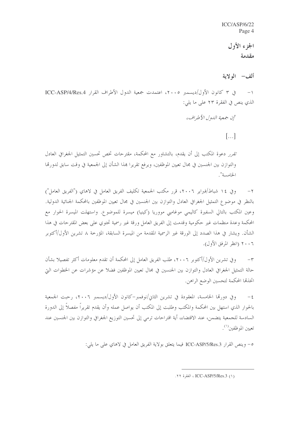ICC/ASP/6/22 Page 4

> الجزء الأول مقدمة

ألف— الولاية

في ٣ كانون الأول/ديسمبر ٢٠٠٥، اعتمدت جمعية الدول الأطراف القرار ICC-ASP/4/Res.4  $-1$ الذي ينص في الفقرة ٢٣ على ما يلي:

"إن جمعية اللهول الأطراف،

 $\left[\ldots\right]$ 

تقرر دعوة المكتب إلى أن يقدم، بالتشاور مع المحكمة، مقترحات تخص تحسين التمثيل الجغرافي العادل والتوازن بين الجنسين في مجال تعيين الموظفين، ويرفع تقريرا هذا الشأن إلى الجمعية في وقت سابق لدورتما الخامسة".

وفي ١٤ شباط/فيراير ٢٠٠٦، قرر مكتب الجمعية تكليف الفريق العامل في لاهاي ("الفريق العامل")  $-\tau$ بالنظر في موضوع التمثيل الجغرافي العادل والتوازن بين الجنسين في مجال تعيين الموظفين بالمحكمة الجنائية الدولية. وعين المكتب بالتالي السفيرة كاليمي موغامبي مووريا (كينيا) ميسرة للموضوع. واستهلت الميسرة الحوار مع المحكمة وعدة منظمات غير حكومية وقدمت إلى الفريق العامل ورقة غير رسمية تحتوي على بعض المقترحات في هذا الشأن. ويشار في هذا الصدد إلى الورقة غير الرسمية المقدمة من الميسرة السابقة، المؤرخة ٨ تشرين الأول/أكتوبر ٢٠٠٦ (انظر المرفق الأول).

وفي تشرين الأول/أكتوبر ٢٠٠٦، طلب الفريق العامل إلى المحكمة أن تقدم معلومات أكثر تفصيلا بشأن  $-{\bf r}$ حالة التمثيل الجغرافي العادل والتوازن بين الجنسين في مجال تعيين الموظفين فضلاً عن مؤشرات عن الخطوات التي اتخذها المحكمة لتحسين الوضع الراهن.

وفي دورتها الخامسة، المعقودة في تشرين الثاني/نوفمبر–كانون الأول/ديسمبر ٢٠٠٦، رحبت الجمعية  $-\xi$ بالحوار الذي استهل بين المحكمة والمكتب وطلبت إلى المكتب أن يواصل عمله وأن يقدم تقريراً مفصلاً إلى الدورة السادسة للجمعية يتضمن، عند الاقتضاء، أية اقتراحات ترمى إلى تحسين التوزيع الجغرافي والتوازن بين الجنسين عند تعيين الموظفين<sup>(١)</sup>.

0- وينص القرار ICC-ASP/5/Res.3 فيما يتعلق بولاية الفريق العامل في لاهاي على ما يلي:

<sup>.71</sup> ICC-ASP/5/Res.3 ، الفقرة ٢٢.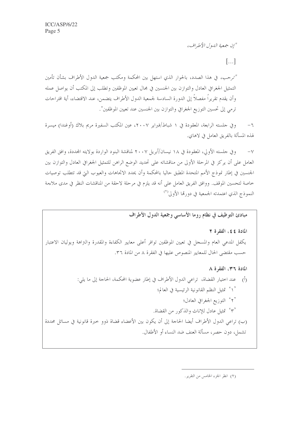"إن جمعية اللهول الأطراف،

 $\left[\ldots\right]$ 

"ترحب، في هذا الصدد، بالحوار الذي استهل بين المحكمة ومكتب جمعية الدول الأطراف بشأن تأمين التمثيل الجغرافي العادل والتوازن بين الجنسين في مجال تعيين الموظفين وتطلب إلى المكتب أن يواصل عمله وأن يقدم تقريراً مفصلاً إلى الدورة السادسة لجمعية الدول الأطراف يتضمن، عند الاقتضاء، أية اقتراحات ترمي إلى تحسين التوزيع الجغرافي والتوازن بين الجنسين عند تعيين الموظفين".

وفي حلسته الرابعة، المعقودة في ١ شباط/فيراير ٢٠٠٧، عين المكتب السفيرة مريم بلاك (أوغندا) ميسرة  $-7$ لهذه المسألة بالفريق العامل في لاهاي.

وفي جلسته الأولى، المعقودة في ١٨ نيسان/أبريل ٢٠٠٧ لمناقشة البنود الواردة بولايته المجددة، وافق الفريق  $-\vee$ العامل على أن يركز في المرحلة الأولى من مناقشاته على تحديد الوضع الراهن للتمثيل الجغرافي العادل والتوازن بين الجنسين في إطار نموذج الأمم المتحدة المطبق حاليا بالمحكمة وأن يحدد الاتجاهات والعيوب البِّ قد تتطلب توصيات خاصة لتحسين الموقف. ووافق الفريق العامل على أنه قد يلزم في مرحلة لاحقة من المناقشات النظر في مدى ملاءمة النموذج الذي اعتمدته الجمعية في دورتها الأولى<sup>(٢)</sup>

مبادئ التوظيف في نظام روما الأساسي وجمعية الدول الأطراف

المادة ٤٤، الفقرة ٢

يكفل المدعى العام والمسحل في تعيين الموظفين توافر أعلى معايير الكفاءة والمقدرة والتراهة ويوليان الاعتبار حسب مقتضى الحال للمعايير المنصوص عليها في الفقرة ٨ من المادة ٣٦.

المادة ٣٦، الفقرة ٨ (أ) عند اختيار القضاة، تراعى الدول الأطراف في إطارٍ عضوية المحكمة، الحاجة إلى ما يلي: ` \ ` تمثيل النظم القانونية الرئيسية في العالم؛ '۲° التوزيع الجغرافي العادل؛ °۳° تمثيل عادل للإناث والذكور من القضاة. (ب) تراعى الدول الأطراف أيضا الحاجة إلى أن يكون بين الأعضاء قضاة ذوو حيرة قانونية في مسائل محددة تشمل، دون حصر، مسألة العنف ضد النساء أو الأطفال.

(٢) انظر الجزء الخامس من التقرير.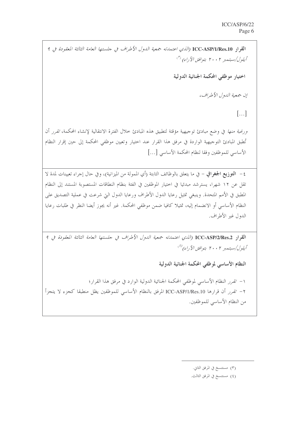القواد ICC-ASP/1/Res.10 (الذي اعتمدته جمعية الدول الأطراف في جلستها العامة الثالثة المعقودة في 9  $\langle \tilde{U}\rangle$ گیلول/سېتىمېرىلى مىلسىنىدىكى ئىستىمېرىكى ئىستىمېرىكى ئىستىمېرىكى ئىستىمېرىكى ئىستىمېرىكى ئىستىم اختيار موظفي المحكمة الجنائية الدولية إن جمعية اللهول الأطراف،  $\left[\ldots\right]$ ورغبة *منها* في وضع مبادئ توجيهية مؤقتة لتطبيق هذه المبادئ خلال الفترة الانتقالية لإنشاء المحكمة، *تقرر* أن تُطبق المبادئ التوجيهية الواردة في مرفق هذا القرار عند اختيار وتعيين موظفى المحكمة إلى حين إقرار النظام الأساسي للموظفين وفقا لنظام المحكمة الأساسي […] ٤ – ا**لتوزيع الجغوافي** – في ما يتعلق بالوظائف الثابتة (أي الممولة من الميزانية)، وفي حال إجراء تعيينات لمدة لا تقل عن ١٢ شهرا، يسترشد مبدئيا في اختيار الموظفين في الفئة بنظام النطاقات المستصوبة المستند إلى النظام المطبق في الأمم المتحدة. وينبغي تمثيل رعايا الدول الأطراف ورعايا الدول التي شرعت في عملية التصديق على النظام الأساسي أو الانضمام إليه، تمثيلا كافيا ضمن موظفي المحكمة. غير أنه يجوز أيضا النظر في طلبات رعايا الدول غير الأطراف.

ا**لقر**ار ICC-ASP/2/Res.2 (*الذي اعتمدته جمعية الدول الأطراف في حلستها العامة الثالثة المعقودة في ٩* أيلول/سيتعبر ٢٠٠٢ بتوافق الآراء)<sup>(٤)</sup>

النظام الأساسي لموظفي المحكمة الجنائية الدولية

١– تقرر النظام الأساسي لموظفي المحكمة الجنائية الدولية الوارد في مرفق هذا القرار؛ ٢– تقرر أن قرارها ICC-ASP/1/Res.10 المرفق بالنظام الأساسي للموظفين يظل منطبقا كجزء لا يتجزأ من النظام الأساسي للموظفين.

(٤) مستنسخ في المرفق الثالث.

<sup>(</sup>٣) مستنسخ في المرفق الثاني.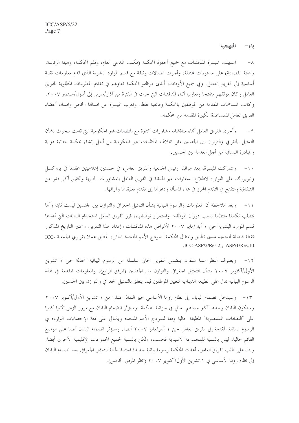باء- المنهجية

استهلت الميسرة المناقشات مع جميع أجهزة المحكمة (مكتب المدعى العام، وقلم المحكمة، وهيئة الرئاسة،  $-\lambda$ والهيئة القضائية) على مستويات مختلفة، وأجرت اتصالات وثيقة مع قسم الموارد البشرية الذي قدم معلومات تقنية أساسية إلى الفريق العامل. وفي جميع الأوقات، أبدي موظفو المحكمة تعاولهم في تقديم المعلومات المطلوبة للفريق العامل وكان موقفهم متفتحا وتعاونيا أثناء المناقشات التي حرت في الفترة من آذار/مارس إلى أيلول/سبتمبر ٢٠٠٧. وكانت المساهمات المقدمة من الموظفين بالمحكمة وقائعية فقط. وتعرب الميسرة عن امتنالها الخاص وامتنان أعضاء الفريق العامل للمساعدة الكبيرة المقدمة من المحكمة.

وأجرى الفريق العامل أثناء مناقشاته مشاورات كثيرة مع المنظمات غير الحكومية البت قامت ببحوث بشأن  $-9$ التمثيل الجغرافي والتوازن بين الجنسين مثل ائتلاف المنظمات غير الحكومية من أجل إنشاء محكمة جنائية دولية والمبادرة النسائية من أجل العدالة بين الجنسين.

١٠– وشاركت الميسرة، بعد موافقة رئيس الجمعية والفريق العامل، في حلستين إعلاميتين عقدتا في بروكسل ونيويورك، على التوالي، لاطلاع السفارات غير الممثلة في الفريق العامل بالمشاورات الجارية وتحقيق أكبر قدر من الشفافية والتفتح في التقدم المحرز في هذه المسألة ودعوها إلى تقديم تعليقاها وآرائها.

١١– وبعد ملاحظة أن المعلومات والرسوم البيانية بشأن التمثيل الجغرافي والتوازن بين الجنسين ليست ثابتة وأنها تتطلب تكييفا منتظما بسبب دوران الموظفين واستمرار توظيفهم، قرر الفريق العامل استخدام البيانات التي أعدها قسم الموارد البشرية حتى ١ أيار/مايو ٢٠٠٧ لأغراض هذه المناقشات وإعداد هذا التقرير. واعتبر التاريخ المذكور نقطة فاصلة لتحديد مدى تطبيق وامتثال المحكمة لنموذج الأمم المتحدة الحالي، المطبق عملا بقراري الجمعية -ICC  $\text{LCC-ASP}/2/\text{Res}.2$ , ASP/1/Res.10

١٢– وبصرف النظر عما سلف، يتضمن التقرير الحالي سلسلة من الرسوم البيانية المحدثة حتى ١ تشرين الأول/أكتوبر ٢٠٠٧ بشأن التمثيل الجغرافي والتوازن بين الجنسين (المرفق الرابع). والمعلومات المقدمة في هذه الرسوم البيانية تدل على الطبيعة الدينامية لتعيين الموظفين فيما يتعلق بالتمثيل الجغرافي والتوازن بين الجنسين.

١٣– وسيدخل انضمام اليابان إلى نظام روما الأساسي حيز النفاذ اعتبارا من ١ تشرين الأول/أكتوبر ٢٠٠٧ وستكون اليابان وحدها أكبر مساهم مالي في ميزانية المحكمة. وسيؤثر انضمام اليابان مع مرور الزمن تأثيرا كبيرا على "النطاقات المستصوبة" المطبقة حاليا وفقا لنموذج الأمم المتحدة وبالتالي على دقة الإحصاءات الواردة في الرسوم البيانية المقدمة إلى الفريق العامل حتى ١ أيار/مايو ٢٠٠٧ أيضا. وسيؤثر انضمام اليابان أيضا على الوضع القائم حاليا، ليس بالنسبة للمجموعة الآسيوية فحسب، ولكن بالنسبة لجميع المحموعات الإقليمية الأخرى أيضا. وبناء على طلب الفريق العامل، أعدت المحكمة رسوما بيانية حديدة استباقا لحالة التمثيل الجغرافي بعد انضمام اليابان إلى نظام روما الأساسي في ١ تشرين الأول/أكتوبر ٢٠٠٧ (انظر المرفق الخامس).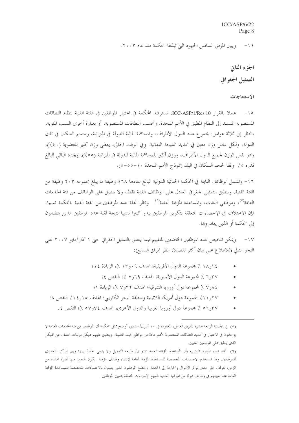$ICC/ASP/6/22$ Page 8

ويبين المرفق السادس الجهود التي تبذلها المحكمة منذ عام ٢٠٠٣.  $-15$ 

> الجزء الثانى التمثيل الجغرافي

#### الاستنتاجات

١٥- عملا بالقرار ICC-ASP/1/Res.10، تسترشد المحكمة في اختيار الموظفين في الفئة الفنية بنظام النطاقات المستصوبة المستند إلى النظام المطبق في الأمم المتحدة. وتحسب النطاقات المستصوبة، أو بعبارة أخرى النسب المئوية، بالنظر إلى ثلاثة عوامل: مجموع عدد الدول الأطراف، والمساهمة المالية للدولة في الميزانية، وحجم السكان في تلك الدولة. ولكل عامل وزن معين في تحديد النتيجة النهائية. وفي الوقت الحالي، يعطي وزن كبير للعضوية (٤٠٪)، وهو نفس الوزن لجميع الدول الأطراف، ووزن أكبر للمساهمة المالية للدولة في الميزانية (٥٥٪)، ويحدد الباقي البالغ قدره ٥٪ وفقا لحجم السكان في البلد (نموذج الأمم المتحدة ٤٠-٥٥-٥).

١٦- وتشمل الوظائف الثابتة في المحكمة الجنائية الدولية البالغ عددها ٤٦٨ وظيفة ما يبلغ مجموعه ٢٠٣ وظيفة من الفئة الفنية. وينطبق التمثيل الجغرافي العادل على الوظائف الفنية فقط، ولا ينطبق على الوظائف من فئة الخدمات العامة<sup>(٥)</sup>، وموظفى اللغات، والمساعدة المؤقتة العامة<sup>(٦)</sup>. ونظرا لقلة عدد الموظفين من الفئة الفنية بالمحكمة نسبيا، فإن الاختلاف في الإحصاءات المتعلقة بتكوين الموظفين يبدو كبيرا نسبيا نتيجة لقلة عدد الموظفين الذين ينضمون إلى المحكمة أو الذين يغادرونها.

١٧– ويمكن تلخيص عدد الموظفين الخاضعين للتقييم فيما يتعلق بالتمثيل الجغرافي حيّ ١ آذار /مايو ٢٠٠٧ على النحو التالي (للاطلاع على بيان أكثر تفصيلاً، انظر المرفق السابع):

- ١٤ (, ١٨ ٪ لمحموعة الدول الأفريقية؛ الهدف ٩ ٠و١٣ ٪، الزيادة ١٤؟
	- ٣٧ر٦ ٪ لمحموعة الدول الآسيوية؛ الهدف ٢٩ر٧ ٪، النقص ٤؛
- ٨٤, ٧ ٪ لمحموعة دول أوروبا الشرقية؛ الهدف ٣٢و٧ ٪، الزيادة ١؛
- ٢٧ر ١١٪ لمحموعة دول أمريكا اللاتينية ومنطقة البحر الكاريبي؛ الهدف ١٥ر١٤٪ النقص ٤٨
	- ٣٧ر٥٦ ٪ لمحموعة دول أوروبا الغربية والدول الأخرى؛ الهدف ٧٤و٥٧ ٪؛ النقص ٤.

<sup>(</sup>٥) في الجلسة الرابعة عشرة للفريق العامل، المعقودة في ١٠ أيلول/سبتمبر، أوضح ممثل المحكمة أن الموظفين من فتة الخدمات العامة لا يؤخذون في الاعتبار في تحديد النطاقات المستصوبة لأفمم عادة من مواطني البلد المضيف وينطبق عليهم هيكل مرتبات يختلف عن الهيكل الذي ينطبق على الموظفين الفنيين.

<sup>(</sup>٦) أفاد قسم الموارد البشرية بأن المساعدة المؤقتة العامة تشير إلى طبيعة التمويل ولا ينبغي الخلط بينها وبين المركز التعاقدي للموظفين. وقد تستخدم الاعتمادات المخصصة للمساعدة المؤقتة العامة لإنشاء وظائف مؤقتة يكون التعيين فيها لفترة محددة من الزمن، تتوقف على مدى توافر الأموال والحاحة إلى الخدمة. ويخضع الموظفون الذين يعينون بالاعتمادات المخصصة للمساعدة المؤقتة العامة عند تعيينهم في وظائف ممولة من الميزانية العادية لجميع الإجراءات المتعلقة بتعيين الموظفين.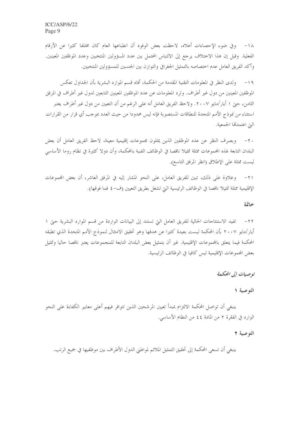١٨- وفي ضوء الإحصاءات أعلاه، لاحظت بعض الوفود أن انطباعها العام كان مختلفا كثيرا عن الأرقام الفعلية. وقيل إن هذا الاختلاف يرجع إلى الالتباس المحتمل بين عدد المسؤولين المنتخبين وعدد الموظفين المعينين. وأكد الفريق العامل عدم اختصاصه بالتمثيل الجغرافي والتوازن بين الجنسين للمسؤولين المنتخبين.

ولدى النظر في المعلومات التقنية المقدمة من الحكمة، أفاد قسم الموارد البشرية بأن الجداول تعكس  $-19$ الموظفين المعينين من دول غير أطراف. وترد المعلومات عن عدد الموظفين المعينين التابعين لدول غير أطراف في المرفق الثامن، حتى ١ أيار/مايو ٢٠٠٧. ولاحظ الفريق العامل أنه على الرغم من أن التعيين من دول غير أطراف يعتبر استثناء من نموذج الأمم المتحدة للنطاقات المستصوبة فإنه ليس محدودا من حيث العدد بموجب أي قرار من القرارات التي اعتمدها الجمعية.

٢٠ – وبصرف النظر عن عدد الموظفين الذين يمثلون مجموعات إقليمية معينة، لاحظ الفريق العامل أن بعض البلدان التابعة لهذه المجموعات ممثلة تمثيلا ناقصا في الوظائف الفنية بالمحكمة، وأن دولا كثيرة في نظام روما الأساسي ليست ممثلة على الإطلاق (انظر المرفق التاسع).

وعلاوة على ذلك، تبين للفريق العامل، على النحو المشار إليه في المرفق العاشر، أن بعض المحموعات  $-\tau$ الإقليمية ممثلة تمثيلا ناقصا في الوظائف الرئيسية التي تشغل بطريق التعيين (ف-٤ فما فوقها).

#### خاتمة

٢٢– تفيد الاستنتاجات الحالية للفريق العامل التي تستند إلى البيانات الواردة من قسم الموارد البشرية حتى ١ أيار/مايو ٢٠٠٧ بأن المحكمة ليست بعيدة كثيرا عن هدفها وهو تحقيق الامتثال لنموذج الأمم المتحدة الذي تطبقه المحكمة فيما يتعلق بالمحموعات الإقليمية. غير أن بتمثيل بعض البلدان التابعة للمحموعات يعتبر ناقصا حاليا وتمثيل بعض المجموعات الإقليمية ليس كافيا في الوظائف الرئيسية.

# توصيات إلى المحكمة

# التوصية ١

ينبغي أن تواصل المحكمة الالتزام بمبدأ تعيين المرشحين الذين تتوافر فيهم أعلى معايير الكفاءة على النحو الوارد في الفقرة ٢ من المادة ٤٤ من النظام الأساسي.

#### التوصية ٢

ينبغي أن تسعى المحكمة إلى تحقيق التمثيل الملائم لمواطني الدول الأطراف بين موظفيها في جميع الرتب.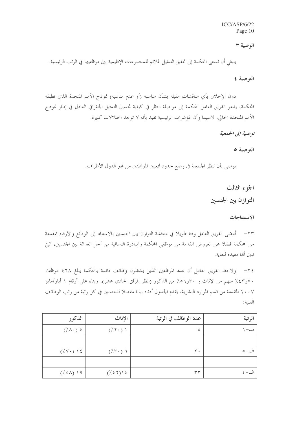$ICC/ASP/6/22$ Page 10

#### الوصية ٣

ينبغي أن تسعى المحكمة إلى تحقيق التمثيل الملائم للمحموعات الإقليمية بين موظفيها في الرتب الرئيسية.

التوصية ٤

دون الإحلال بأي مناقشات مقبلة بشأن مناسبة (أو عدم مناسبة) نموذج الأمم المتحدة الذي تطبقه المحكمة، يدعو الفريق العامل المحكمة إلى مواصلة النظر في كيفية تحسين التمثيل الجغرافي العادل في إطار نموذج الأمم المتحدة الحالي، لاسيما وأن المؤشرات الرئيسية تفيد بأنه لا توجد اختلالات كبيرة.

توصية إلى الجدمية

التوصية ٥

يوصى بأن تنظر الجمعية في وضع حدود لتعيين المواطنين من غير الدول الأطراف.

الجزء الثالث

التوازن بين الجنسين

الاستنتاجات

٢٣– أمضى الفريق العامل وقتا طويلا في مناقشة التوازن بين الجنسين بالاستناد إلى الوقائع والأرقام المقدمة من المحكمة فضلا عن العروض المقدمة من موظفي المحكمة والمبادرة النسائية من أجل العدالة بين الجنسين، التي تبين ألها مفيدة للغاية.

٢٤– ولاحظ الفريق العامل أن عدد الموظفين الذين يشغلون وظائف دائمة بالمحكمة يبلغ ٤٦٨ موظفا، ٧٠ر٤٣٪ منهم من الإناث و ٣٠ر٥٦٪ من الذكور (انظر المرفق الحادي عشر). وبناء على أرقام ١ أيار/مايو ٢٠٠٧ المقدمة من قسم الموارد البشرية، يقدم الجدول أدناه بيانا مفصلاً للجنسين في كل رتبة من رتب الوظائف الفنية:

| الذكور                         | الإناث                                     | عدد الوظائف في الرتبة | الرتبة             |
|--------------------------------|--------------------------------------------|-----------------------|--------------------|
| $(\lambda \wedge \cdot)$ {     | $(\cdot/\tau \cdot)$                       | $\circ$               | مد–                |
|                                |                                            |                       |                    |
| $(\frac{7}{2} \vee \cdot)$ \ { | $(\mathcal{X}, \mathcal{F})$ $\mathcal{T}$ | ۲٠                    | ف-٥                |
|                                |                                            |                       |                    |
| $(\lambda \circ \lambda)$ 19   | (7.55)                                     | ٣٣                    | $\frac{2}{2}$ وُ ب |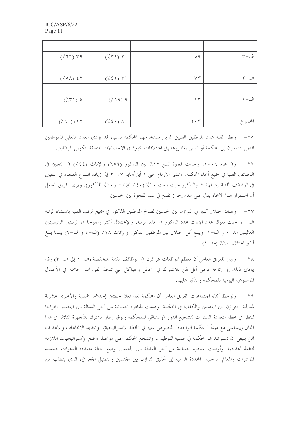| $(7.77)$ ۳۹                            | $(\pi \xi)$ $\gamma$ .            | 09                            | ف−۳     |
|----------------------------------------|-----------------------------------|-------------------------------|---------|
|                                        |                                   |                               |         |
| $(\frac{7}{6} \circ \lambda)$ { \times | $(7.51)$ T)                       | YY                            | ف−۲     |
|                                        |                                   |                               |         |
| $(\frac{7}{7})$ {                      | $(7.79)$ 9                        | $\gamma$                      | ف- ۱    |
|                                        |                                   |                               |         |
| $(\frac{1}{2}, 7)$                     | $(\frac{1}{2}(\xi \cdot) \wedge)$ | $\mathbf{Y} \cdot \mathbf{Y}$ | المحموع |

٢٥– ونظرا لقلة عدد الموظفين الفنيين الذين تستخدمهم المحكمة نسبيا، قد يؤدي العدد الفعلى للموظفين الذين ينضمون إلى المحكمة أو الذين يغادروها إلى اختلافات كبيرة في الاحصاءات المتعلقة بتكوين الموظفين.

وفي عام ٢٠٠٦، وحدت فجوة تبلغ ١٢٪ بين الذكور (٥٦٪) والإناث (٤٤٪) في التعيين في  $-\tau$ الوظائف الفنية في جميع أنحاء المحكمة. وتشير الأرقام حتى ١ أيار/مايو ٢٠٠٧ إلى زيادة اتساع الفجوة في التعيين في الوظائف الفنية بين الإناث والذكور حيث بلغت ٢٠٪ (٤٠٪ للإناث و٢٠٪ للذكور). ويرى الفريق العامل أن استمرار هذا الاتجاه يدل على عدم إحراز تقدم في سد الفجوة بين الجنسين.

وهناك اختلال كبير في التوازن بين الجنسين لصالح الموظفين الذكور في جميع الرتب الفنية باستثناء الرتبة  $-\tau v$ ف –١ حيث يفوق عدد الإناث عدد الذكور في هذه الرتبة. والإختلال أكثر وضوحا في الرتبتين الرئيسيتين العاليتين مد−١ و ف−١. ويبلغ أقل اختلال بين الموظفين الذكور والإناث ١٨٪ (ف−٤ و ف−٢) بينما يبلغ أكبر اختلال ٢٠٪ (مد-١).

٢٨ – وتبين للفريق العامل أن معظم الموظفات يتركزن في الوظائف الفنية المنخفضة (ف–١ إلى ف–٣) وقد يؤدي ذلك إلى إتاحة فرص أقل لهن للاشتراك في المحافل والهياكل التي تتخذ القرارات الحاسمة في الأعمال الموضوعية اليومية للمحكمة والتأثير عليها.

ولوحظ أثناء احتماعات الفريق العامل أن المحكمة تعد فعلا حطتين إحداهما خمسية والأحرى عشرية  $-\tau$ لمعالجة التوازن بين الجنسين والكفاءة في المحكمة. وقدمت المبادرة النسائية من أحل العدالة بين الجنسين اقتراحا للنظر في حطة متعددة السنوات لتشجيع الدور الإستباقي للمحكمة وتوفير إطار مشترك للأجهزة الثلاثة في هذا المحال (يتماشى مع مبدأ "المحكمة الواحدة" المنصوص عليه في الخطة الاستراتيجية)، وتحديد الاتحاهات والأهداف التي ينبغي أن تسترشد ها المحكمة في عملية التوظيف، وتشجع المحكمة على مواصلة وضع الإستراتيجيات اللازمة لتنفيذ أهدافها. وأوصت المبادرة النسائية من أجل العدالة بين الجنسين بوضع خطة متعددة السنوات لتحديد المؤشرات والمعالم المرحلية المحددة الرامية إلى تحقيق التوازن بين الجنسين والتمثيل الجغرافي، الذي يتطلب من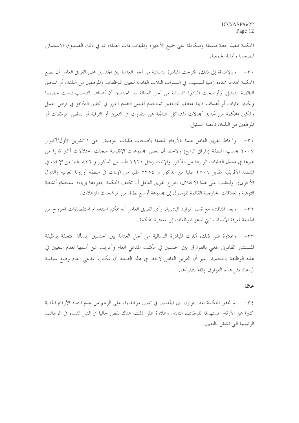المحكمة تنفيذ خطة متسقة ومتكاملة على جميع الأجهزة والهيئات ذات الصلة، بما في ذلك الصندوق الاستئماني للضحايا وأمانة الجمعية.

وبالإضافة إلى ذلك، اقترحت المبادرة النسائية من أجل العدالة بين الجنسين على الفريق العامل أن تضع المحكمة أهدافاً محددة زمنيا للتنسيب في السنوات الثلاث القادمة لتعيين الموظفات والموظفين من البلدان أو المناطق الناقصة التمثيل. وأوضحت المبادرة النسائية من أجل العدالة بين الجنسين أن أهداف التنسيب ليست حصصا ولكنها غايات أو أهداف قابلة منطقيا للتحقيق تستخدم لقياس التقدم المحرز في تحقيق التكافؤ في فرص العمل وتمكين المحكمة من تحديد 'مجالات المشاكل' الناتجة عن التفاوت في التعيين أو الترقية أو تناقص الموظفات أو الموظفين من البلدان ناقصة التمثيل.

٣١ – وأحاط الفريق العامل علما بالأرقام المتعلقة بأصحاب طلبات التوظيف حتى ١ تشرين الأول/أكتوبر ٢٠٠٧ بحسب المنطقة (المرفق الرابع) ولاحظ أن بعض المجموعات الإقليمية سجلت اختلالات أكبر قدرا من غيرها في معدل الطلبات الواردة من الذكور والإناث (مثل ٢٩٢١ طلبا من الذكور و ٨٢٦ طلبا من الإناث في المنطقة الأفريقية مقابل ٢٥٠٦ طلبا من الذكور و ٢٣٥٤ طلبا من الإناث في منطقة أوروبا الغربية والدول الأخرى). وللتغلب على هذا الاختلال، اقترح الفريق العامل أن تكثف المحكمة جهودها بزيادة استخدام أنشطة التوعية والعلاقات الخارجية القائمة للوصول إلى مجموعة أوسع نطاقا من المرشحات المؤهلات.

وبعد المناقشة مع قسم الموارد البشرية، رأى الفريق العامل أنه يمكن استخدام استقصاءات الخروج من  $-\tau \tau$ الخدمة لمعرفة الأسباب التي تدعو الموظفات إلى مغادرة المحكمة.

٣٣ – وعلاوة على ذلك، أثارت المبادرة النسائية من أجل العدالة بين الجنسين المسألة المتعلقة بوظيفة المستشار القانوين المعنى بالفوارق بين الجنسين في مكتب المدعى العام وأعربت عن أسفها لعدم التعيين في هذه الوظيفة بالتحديد. غير أن الفريق العامل لاحظ في هذا الصدد أن مكتب المدعى العام وضع سياسة لمراعاة مثل هذه الفوارق وقام بتنفيذها.

#### خاتمة

لم تحقق المحكمة بعد التوازن بين الجنسين في تعيين موظفيها، على الرغم من عدم ابتعاد الأرقام الحالية  $-\tau$  { كثيرا عن الأرقام المستهدفة للوظائف الثابتة. وعلاوة على ذلك، هناك نقص حاليا في تمثيل النساء في الوظائف الرئيسية التي تشغل بالتعيين.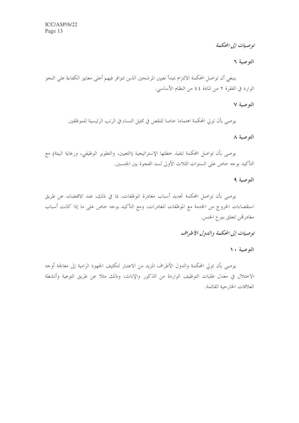توصيات إلى المحكمة

التوصية ٦

ينبغي أن تواصل المحكمة الالتزام بمبدأ تعيين المرشحين الذين تتوافر فيهم أعلى معايير الكفاءة على النحو الوارد في الفقرة ٢ من المادة ٤٤ من النظام الأساسي.

### التوصية ٧

يوصي بأن تولى المحكمة اهتماما خاصا للنقص في تمثيل النساء في الرتب الرئيسية للموظفين.

التوصية ٨

يوصى بأن تواصل المحكمة تنفيذ حطتها الإستراتيجية (التعيين، والتطوير الوظيفي، ورعاية البيئة) مع التأكيد بوجه حاص على السنوات الثلاث الأولى لسد الفجوة بين الجنسين.

## التوصية ٩

يوصى بأن تواصل المحكمة تحديد أسباب مغادرة الموظفات، بما في ذلك، عند الاقتضاء، عن طريق استقصاءات الخروج من الخدمة مع الموظفات المغادرات، ومع التأكيد بوجه خاص على ما إذا كانت أسباب مغادرتمن تتعلق بنوع الجنس.

# توصيات إلى المحكمة والدول الأطراف

# التوصية ١٠

يوصى بأن تولي المحكمة والدول الأطراف المزيد من الاعتبار لتكثيف الجهود الرامية إلى معالجة أوجه الاختلال في معدل طلبات التوظيف الواردة من الذكور والإناث، وذلك مثلا عن طريق التوعية وأنشطة العلاقات الخار جية القائمة.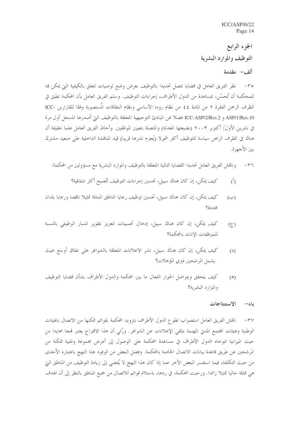ICC/ASP/6/22 Page 14

الجزء الرابع التوظيف والموارد البشرية ألف – مقدمة

٣٥– نظر الفريق العامل في قضايا تتصل تحديدا بالتوظيف بغرض وضع توصيات تتعلق بالكيفية التي يمكن بما للمحكمة أن تُحسّن، بمساعدة من الدول الأطراف، إجراءات التوظيف. وسلم الفريق العامل بأن المحكمة تطبق في الظرف الراهن الفقرة ٢ من المادة ٤٤ من نظام روما الأساسي ونظام النطاقات المُستصوبة وفقا للقارارين -ICC ASP/1/Res.10 و ICC-ASP/2/Res.2 فضلاً عن المبادئ التوجيهية المتعلقة بالتوظيف التي أصدرها المسجل أول مرة في تشرين الأول/ أكتوبر ٢٠٠٣ (بضيعتها المعدلة) والمتصلة بتعيين الموظفين. وأحاط الفريق العامل علما بحقيقة أن هناك في الظرف الراهن سياسة للتوظيف أكثر شمولا (يُعتزم نشرها قريبا) قيد المناقشة الداخلية على صعيد مشترك بين الأجهزة.

وناقش الفريق العامل تحديدا القضايا التالية المتعلقة بالتوظيف والموارد البشرية مع مسؤولين من المحكمة:  $-\tau$ 

- كيف يمكن، إن كان هناك سبيل، تحسين إجراءات التوظيف لتُصبح أكثر شفافية؟  $\binom{5}{1}$
- كيف يمكن، إن كان هناك سبيل، تحسين توظيف رعايا المناطق الممثلة تمثيلا ناقصا ورعايا بلدان  $(\hookrightarrow)$ محددة؟
- كيف يمكن، إن كان هناك سبيل، إدحال تحسينات لتعزيز تطوير المسار الوظيفي بالنسبة  $(5)$ للموظفات الإناث بالمحكمة؟
- كيف يمكن، إن كان هناك سبيل، نشر الإعلانات المتعلقة بالشواغر على نطاق أوسع بحيث  $(2)$ يشمل المرشحين ذوي المؤهلات؟
- كيف يتحقق ويتواصل الحوار الفعال ما بين المحكمة والدول الأطراف بشأن قضايا التوظيف  $(\mathbb{A})$ والموارد البشرية؟

#### باء الاستنتاجات

٣٧– ناقش الفريق العامل استصواب تطوع الدول الأطراف بتزويد المحكمة بقوائم تمكنها من الاتصال بالهيئات الوطنية وهيئات المجتمع المدني المهتمة بتلقى الإعلانات عن الشواغر. ورُئي أن هذا الاقتراح يعتبر لهجا محايدا من حيث الميزانية تتوحاه الدول الأطراف في مساعدة المحكمة على الوصول إلى أعرض مجموعة وطنية ممكنة من المرشحين عن طريق قاعدة بيانات الاتصال الخاصة بالمحكمة. وفضل البعض من الوفود هذا النهج باعتباره الأحدى من حيث التكلفة، فيما استفسر البعض الآخر عما إذا كان هذا النهج لا يُفضى إلى زيادة التوظيف من المناطق التي هي ممثلة حاليا تمثيلًا زائدًا. ورحبت المحكمة، في ردها، باستلام قوائم للاتصال من جميع المناطق بالنظر إلى أن الهدف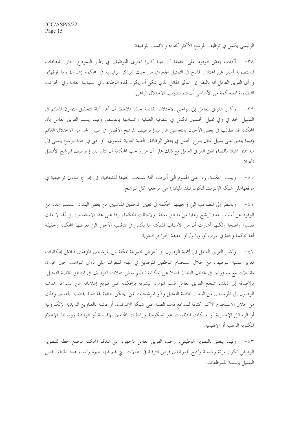الرئيسي يكمن في توظيف المرشح الأكثر كفاءة والأنسب للوظيفة.

٣٨ - أكدت بعض الوفود على حقيقة أن عيبا كبيرا اعترى التوظيف في إطار النموذج الحالي للنطاقات المستصوبة أسفر عن اختلال فادح في التمثيل الجغرافي من حيث المراكز الرئيسية في المحكمة (ف-٤ وما فوقها). ورأى الفريق العامل أنه بالنظر إلى التأثير الهائل الذي يمكن أن يكون لهذه الوظائف في السياسة العامة وفي الجوانب التنظيمية للمحكمة من الأساسي أن يتم تصويب الاختلال الراهن.

وأشار الفريق العامل إلى نواحي الاختلال القائمة حاليا فلاحظ أن أهم أداة لتحقيق التوازن الملائم في  $-\tau$ 9 التمثيل الجغرافي وفي تمثيل الجنسين تكمن في شفافية العملية واتسامها بالقسط. وفيما يسلم الفريق العامل بأن المحكمة قد تطالب في بعض الأحيان بالتغاضي عن مبدإ توظيف المرشح الأفضل في سبيل الحد من الاختلال القائم (فيما يتعلق على سبيل المثال بنو ع الجنس في بعض الوظائف الفنية العالية المستوى، أو حتى في حالة مرشح ينتمي إلى بلد ممثل تمثيلا ناقصا) اتفق الفريق العامل مع ذلك على أن من واحب المحكمة أن تتقيد بمبدإ توظيف المرشح الأفضل تأهىلا.

وبينت المحكمة، ردا على الهموم التي أثيرت، ألها عمدت، تحقيقا للشفافية، إلى إدراج مبادئ توجيهية في  $-5$ موقعهاعلى شبكة الإنترنت لتكون تلك المبادئ هي مرجعية كل مترشح.

٤١ – وبالنظر إلى المصاعب التي واجهتها المحكمة في تعيين الموظفين المناسبين من بعض البلدان استفسر عدد من الوفود عن أسباب عدم ترشح رعايا من مناطق معينة. ولاحظت المحكمة، ردا على هذا الاستفسار، إلى ألها لا تملك تفسيرا واضحا ولكنها أشارت أن من الأسباب المكنة ما يكمن في تنافسية الأجور التي تعرضها المحكمة وحقيقة ألها محكمة واقعة في غرب أوروبا و/ أو حقيقة الحواجز اللغوية.

٤٢ – وأشار الفريق العامل إلى أهمية الوصول إلى أعرض مجموعة ممكنة من المرشحين المؤهلين فناقش إمكانيات تعزيز عملية التوظيف من خلال استخدام الموظفين الموفدين في مهام للتعرف على ذوي المواهب حين يجرون مقابلات مع مسؤولين في مختلف البلدان فضلا عن إمكانية تنظيم بعض حملات التوظيف في المناطق ناقصة التمثيل. بالإضافة إلى ذلك، شجع الفريق العامل قسم الموارد البشرية بالمحكمة على تنويع إعلاناته عن الشواغر بمدف الوصول إلى المرشحين من البلدان ناقصة التمثيل و/أو المرشحات ممن يملكن حلفية لها صلة بقضايا الجنسين وذلك من خلال الاستخدام الأكثر كثافة للمواقع ذات الصلة على شبكة الإنترنت، أو قائمة بالعناوين البريدية الإلكترونية أو الرسائل الإخبارية أو شبكات المنظمات غير الحكومية ورابطات المحامين الإقليمية أو الوطنية ووسائط الإعلام المكتوبة الوطنية أو الإقليمية.

٤٣ – وفيما يتعلق بالتطوير الوظيفي، رحب الفريق العامل بالجهود التي تبذلها المحكمة لوضع خطة للتطوير الوظيفي تكون مرنة وشاملة وتتيح للموظفين فرص الترقية في المحالات التي لهم فيها خبرة وتسلم هذه الخطة بنقص التمثيل بالنسبة للموظفات.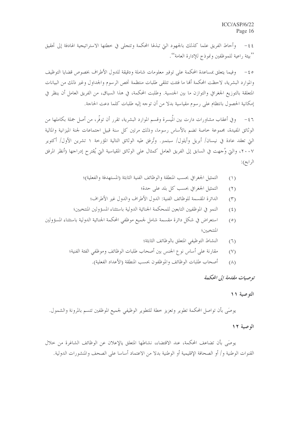٤٤- وأحاط الفريق علما كذلك بالجهود التي تبذلها المحكمة وتتجلى في خطتها الاستراتيجية الهادفة إلى تحقيق ''بيئة راعية للموظفين ونموذج للإدارة العامة''.

0 £ – وفيما يتعلق بمساعدة المحكمة على توفير معلومات شاملة ودقيقة للدول الأطراف بخصوص قضايا التوظيف والموارد البشرية، لاحظت المحكمة ألها ما فتئت تتلقى طلبات منتظمة تخص الرسوم والجداول وغير ذلك من البيانات المتعلقة بالتوزيع الجغرافي والتوازن ما بين الجنسية. وطلبت المحكمة، في هذا السياق، من الفريق العامل أن ينظر في إمكانية الحصول بانتظام على رسوم مقياسية بدلًا من أن توجه إليه طلبات كلما دعت الحاجة.

وفي أعقاب مشاورات دارت بين المُيسرة وقسم الموارد البشرية، تقرر أن توفُّر، من أصل جملة بكاملها من  $-57$ الوثائق المفيدة، مجموعة حاصة تضم بالأساس رسوما، وذلك مرتين كل سنة قبيل اجتماعات لجنة الميزانية والمالية التي تعقد عادة في نيسان/ أبريل وأيلول/ سبتمبر. وتُرفق طيه الوثائق التالية المؤرخة ١ تشرين الأول/ أكتوير ٢٠٠٧، والَّتِي وُجهت في السابق إلى الفريق العامل كمثال على الوثائق المقياسية التي يُقترح إدراجها (أنظر المرفق الرابع):

- التمثيل الجغرافي بحسب المنطقة والوظائف الفنية الثابثة (المستهدفة والفعلية)؛  $(1)$ 
	- التمثيل الجغرافي بحسب كل بلد على حدة؛  $(7)$
	- الدائرة المقسمة للوظائف الفنية: الدول الأطراف والدول غير الأطراف؛  $(\Upsilon)$
- النمو في الموظفيين التابعين للمحكمة الجنائية الدولية باستثناء المسؤولين المنتخبين؛  $(5)$
- استعراض في شكل دائرة مقسمة شامل لجميع موظفي المحكمة الجنائية الدولية باستثناء المسؤولين  $(0)$ المنتخبين؛
	- النشاط التوظيفي المتعلق بالوظائف الثابثة؛  $(7)$
	- مقارنة على أساس نوع الجنس بين أصحاب طلبات الوظائف وموظفي الفئة الفنية؛  $(Y)$ 
		- أصحاب طلبات الوظائف والموظفون بحسب المنطقة (الأعداد الفعلية).  $(\wedge)$

توصيات مقلدمة إلى المحكمة

# التوصية ١١

يوصَى بأن تواصل المحكمة تطوير وتعزيز حطة للتطوير الوظيفي لجميع الموظفين تتسم بالمرونة والشمول.

#### الوصية ١٢

يوصَى بأن تضاعف المحكمة، عند الاقتضاء، نشاطها المتعلق يالإعلان عن الوظائف الشاغرة من خلال القنوات الوطنية و/ أو الصحافة الإقليمية أو الوطنية بدلا من الاعتماد أساسا على الصحف والمنشورات الدولية.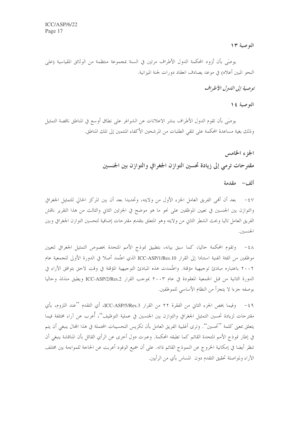التوصية ١٣

يوصَى بأن تُزود المحكمة الدول الأطراف مرتين في السنة بمجموعة منتظمة من الوثائق المقياسية (على النحو المبين أعلاه) في موعد يصادف انعقاد دورات لجنة الميزانية.

توصية إلى اللهول الأطيراف

### التوصية ١٤

يوصَى بأن تقوم الدول الأطراف بنشر الاعلانات عن الشواغر على نطاق أوسع في المناطق ناقصة التمثيل وذلك بغية مساعدة المحكمة على تلقى الطلبات من المرشحين الأكفاء المنتمين إلى تلك المناطق.

# الجزء الخامس مقترحات ترمي إلى زيادة تحسين التوازن الجغرافي والتوازن بين الجنسين

ألف – مقدمة

٤٧ – بعد أن أُهْبِي الفريق العامل الجزء الأول من ولايته، وتحديدا بعد أن بين المركز الحالي للتمثيل الجغرافي والتوازن بين الجنسين في تعيين الموظفين على نحو ما هو موضح في الجزئين الثاني والثالث من هذا التقرير ناقش الفريق العامل تاليا وبحث الشطر الثاني من ولايته وهو المتعلق بتقديم مقترحات إضافية لتحسين التوازن الجغرافي وبين الجنسين.

٤٨ - وتقوم المحكمة حاليا، كما سبق بيانه، بتطبيق نموذج الأمم المتحدة بخصوص التمثيل الجغرافي لتعيين موظفين من الفئة الفنية استنادا إلى القرار ICC-ASP/1/Res.10 الذي اعتُمد أصلا في الدورة الأولى للجمعية عام ٢٠٠٢ باعتباره مبادئ توحيهية مؤقتة. واعتُمدت هذه المبادئ التوحيهية المؤقتة في وقت لاحق بتوافق الآراء في الدورة الثانية من قبل الجمعية المعقودة في عام ٢٠٠٣ بموجب القرار ICC-ASP/2/Res.2 ويطبق منذئذ وحاليا بوصفه جزءًا لا يتجزأ من النظام الأساسي للموظفين.

٤٩ - وفيما يخص الجزء الثاني من الفقرة ٢٢ من القرار ICC-ASP/5/Res.3، أي التقدم ''عند اللزوم، بأي مقترحات لزيادة تحسين التمثيل الجغرافي والتوازن بين الجنسين في عملية التوظيف''، أعرب عن آراء مختلفة فيما يتعلق بمعنى كلمة ''تحسين''. وترى أغلبية الفريق العامل بأن تكريس التحسينات المحتملة في هذا المحال ينبغي أن يتم في إطار نموذج الأمم المتحدة القائم كما تطبقه المحكمة. وعبرت دول أخرى عن الرأي القائل بأن المناقشة ينبغي أن تنظر أيضا في إمكانية الخروج عن النموذج القائم ذاته. على أن جميع الوفود أعربت عن الحاجة للمواءمة بين مختلف الآراء ولمواصلة تحقيق التقدم دون المساس بأي من الرأيين.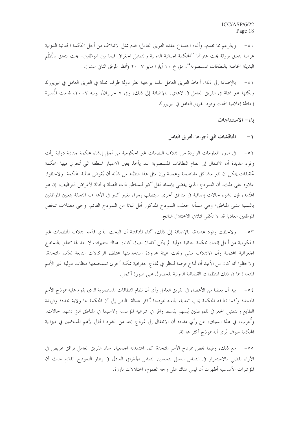٥٠ – وبالرغم مما تقدم، وأثناء احتماع عقده الفريق العامل، قدم ممثل الائتلاف من أحل المحكمة الجنائية الدولية عرضا يتعلق بورقة بحث عنوالها ''المحكمة الجنائية الدولية والتمثيل الجغرافي فيما بين الموظفين– بحث يتعلق بالنُّظُم البديلة الخاصة بالنطاقات المستصوبة''، مؤرخ ١٠ أيار/ مايو ٢٠٠٧ (أنظر المرفق الثاني عشر).

بالإضافة إلى ذلك أحاط الفريق العامل علما بوجهة نظر دولة طرف ممثلة في الفريق العامل في نيويورك  $-0)$ ولكنها غير ممثلة في الفريق العامل في لاهاي. بالإضافة إلى ذلك، وفي ٧ حزيران/ يونيه ٢٠٠٧، قدمت المُيسرة إحاطة إعلامية شملت وفود الفريق العامل في نيويورك.

باء– الاستنتاجات

#### المناقشات التي أجراها الفريق العامل  $\rightarrow$

في ضوء المعلومات الواردة من ائتلاف النظمات غير الحكومية من أجل إنشاء محكمة جنائية دولية رأت  $-0 \gamma$ وفود عديدة أن الانتقال إلى نظام النطاقات المستصوبة التذ يأخذ بعين الاعتبار المنطقة التي تُجري فيها المحكمة تحقيقات يمكن ان تثير مشاكل مفاهيمية وعملية وإن مثل هذا النظام من شأنه أن يُقوض عالمية المحكمة. ولاحظوا، علاوة على ذلك، أن النموذج الذي يقضى بإسناد ثقل أكبر للمناطق ذات الصلة بالحالة لأغراض التوظيف، إن هو اعتُمد، فإن نشوءِ حالات إضافية في مناطق أخرى سيتطلب إجراء تغيير كبير في الأهداف المتعلقة بتعيين الموظفين بالنسبة لشيّ المناطق؛ وهي مسألة جعلت النموذج المذكور أقل ثباتا من النموذج القائم. وحيّ معدلات تناقص الموظفين العادية قد لا تكفي لتلافي الاختلال الناتج.

٥٣ - ولاحظت وفود عديدة، بالإضافة إلى ذلك، أثناء المناقشة أن البحث الذي قدَّمه ائتلاف المنظمات غير الحكومية من أجل إنشاء محكمة جنائية دولية لم يكن كاملا حيث كانت هناك متغيرات لا حد لها تتعلق بالنماذج الجغرافية المحتملة وأن الائتلاف تلقى وبحث عينة محدودة استخدمتها مختلف الوكالات التابعة للأمم المتحدة. ولاحظوا أنه كان من الأفيد أن تُتاح فرصة للنظر في نماذج حغرافية ممكنة أخرى تستخدمها منظات دولية غير الأمم المتحدة بما في ذلك المنظمات القضائية الدولية للحصول على صورة أكمل.

بيد أن بعضا من الأعضاء في الفريق العامل رأى أن نظام النطاقات المستصوبة الذي يقوم عليه نموذج الأمم  $-\circ 5$ المتحدة وكما تطبقه المحكمة يجب تعديله لجعله نموذجا أكثر عدالة بالنظر إلى أن المحكمة لها ولاية محددة وفريدة الطابع والتمثيل الجغرافي للموظفين يُسهم بقسط وافر في شرعية المؤسسة ولاسيما في المناطق التي تشهد حالات. وأعرب، في هذا السياق، عن رأي مفاده أن الانتقال إلى نموذج يحد من النفوذ الحالي لأهم المساهمين في ميزانية المحكمة سوف يُرى أنه نموذج أكثر عدالة.

٥٥– مع ذلك، وفيما يخص نموذج الأمم المتحدة كما اعتمدته الجمعية، ساد الفريق العامل توافق عريض في الآراء يقضي بالاستمرار في التماس السبل لتحسين التمثيل الجغرافي العادل في إطار النموذج القائم حيث أن المؤشرات الأساسية أظهرت أن ليس هناك على وجه العموم، اختلالات بارزة.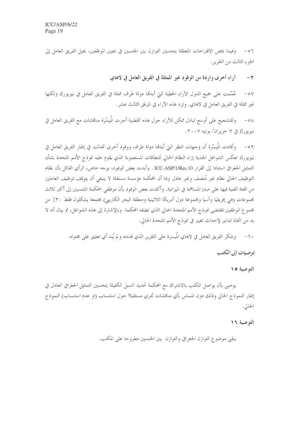٥٦ – وفيما يخص الاقتراحات المتعلقة بتحسين التوازن بين الجنسين في تعيين الموظفين، يحيل الفريق العامل إلى الجزء الثالث من التقرير.

> آراء أخرى واردة من الوفود غير الممثلة في الفريق العامل في لاهاي  $-7$

عُمَّمت على جميع الدول الآراء الخطية التيّ أبدهما دولة طرف ممثلة في الفريق العامل في نيويورك ولكنها  $-0V$ غير ممثلة في الفريق العامل في لاهاي. وترد هذه الآراء في المرفق الثالث عشر.

وللتشجيع على أوسع تبادل ممكن للآراء حول هذه القضية أجرت المُيسّرة مناقشات مع الفريق العامل في  $-\circ \wedge$ نيويورك في ٧ حزيران/ يونيه ٢٠٠٧.

٥٩ – وأفادت المُيسَّرة أن وحهات النظر التي أبدهما دولة طرف ووفود أحرى تحدثت في إطار الفريق العامل في نيويورك تعكس الشواغل الجدية إزاء النظام الحالي للنطاقات المستصوبة الذي يقوم عليه نموذج الأمم المتحدة بشأن التمثيل الجغرافي استنادا إلى القرار ICC-ASP/1/Res.10 . وأبدت بعض الوفود، بوجه حاص، الرأى القائل بأن نظام التوظيف الحالي نظام غير مُنصف وغير عادل وبما أن المحكمة مؤسسة مستقلة لا ينبغي أن يتوقف توظيف العاملين من الفئة الفنية فيها على مبدإ المساهمة في الميزانية. وأكدت بعض الوفود بأن موظفي المحكمة المنتسبين إلى أكبر ثلاث مجموعات (هي إفريقيا وأسيا ومجموعة دول أمريكا اللاتينية ومنطقة البحر الكاريبي) مجتمعة يشكلون فقط ٣٠٪ من مجموع الموظفين بمقتضى نموذج الأمم المتحدة الحالي الذي تطبقه المحكمة. وبالإشارة إلى هذه الشواغل، تم بيان أنه لا بد من اتخاذ تدابير لإحداث تغيير في نموذج الأمم المتحدة الحالي.

٦٠– وشكر الفريق العامل في لاهاي المُيسرة على التقرير الذي قدمته و لم يُبد أي تعليق على محتواه.

توصيات إلى المكتب

التوصية ١٥

يوصى بأن يواصل المكتب بالاشتراك مع المحكمة تحديد السبل الكفيلة بتحسين التمثيل الحغرافي العادل في إطار النموذج الحالي وذلك دون المساس بأي مناقشات تحري مستقبلا حول استنساب (او عدم استنساب) النموذج الحالي.

#### الته صبية ١٦

يبقى موضوع التوازن الجغرافي والتوازن بين الجنسين مطروحا على المكتب.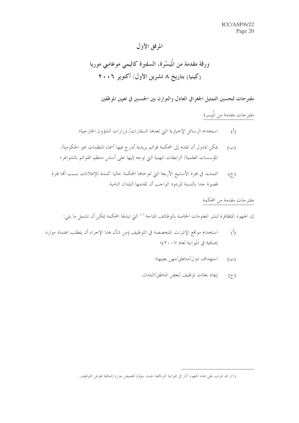# المرفق الأول

ورقة مقدمة من المُيسّرة، السفيرة كاليمي موغامبي موريا (کینیا) بتاریخ ۸ تشرین الأول/ أکتویر ۲۰۰۶

مقترحات لتحسين التمثيل الجغرافي العادل والتوازن بين الجنسين في تعيين الموظفين

مقترحات مقدمة من المُيسرة

- استخدام الرسائل الإخبارية التي تعدها السفارات/ وزارات الشؤون الخارجية؛  $\langle \hat{L} \rangle$
- يمكن للدول أن تقدم إلى المحكمة قوائم بريدية تُدرج فيها أسماء المنظمات غير الحكومية/  $(\hookrightarrow)$ المؤسسات العلمية/ الرابطات المهنية التي توجه إليها على أساس منتظم القوائم بالشواغر؛
- التمديد في فترة الأسابيع الأربعة التي تتوخاها المحكمة حاليا كمدة للإعلانات بسبب ألها فترة  $(5)$ قصيرة جدا بالنسبة للردود الواحب أن تقدمها البلدان النامية.

# مقترحات مقدمة من المحكمة

إن الجهود المتظافرة لنشر المعلومات الخاصة بالوظائف المتاحة `` التي تبذلها المحكمة يمكن أن تشمل ما يلي:

- استخدام مواقع الإنترنت المتخصصة في التوظيف (من شأن هذا الإحراء أن يتطلب اعتماد موارد  $(\mathfrak{h})$ إضافية في الميزانية لعام ٢٠٠٧)؛
	- استهداف دول/مناطق/مهن بعينها؛  $(\hookrightarrow)$
	- إيفاد بعثات توظيف لبعض المناطق/البلدان.  $(7)$

<sup>(</sup>١) قد تترتب على هذه الجهود آثار في الميزانية البرنامجية حيث سيلزم تخصيص موارد إضافية لغرض التوظيف.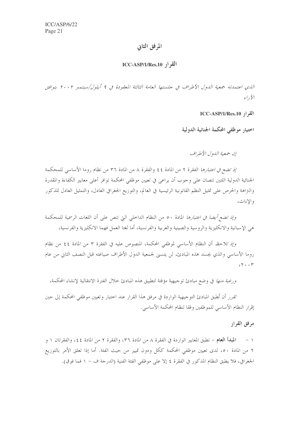# المرفق الثاني

# $ICC-ASP/1/Res.10$  القرار

الذي اعتمدته جمعية الدول الأطراف في جلستها العامة الثالثة المعقودة في ٩ أيلول/سبتمبر ٢٠٠٢ بتوافق الأداء

القرار ICC-ASP/1/Res.10

اختيار موظفي المحكمة الجنائية الدولية

إن جمعية اللهول الأطراف

/ذِ تضع في ا*عتبارها* الفقرة ٢ من المادة ٤٤ والفقرة ٨ من المادة ٣٦ من نظام روما الأساسي للمحكمة الجنائية الدولية اللتين تنصان على وحوب أن يراعى في تعيين موظفي المحكمة توافر أعلى معايير الكفاءة والمقدرة والنزاهة والحرص على تمثيل النظم القانونية الرئيسية في العالم، والتوزيع الجغرافي العادل، والتمثيل العادل للذكور والاناث،

وإِذِ تضع *أيضا في اعتبارها* المادة ٥٠ من النظام الداخلي التي تنص على أن اللغات الرسمية للمحكمة هي الإسبانية والانكليزية والروسية والصينية والعربية والفرنسية، أما لغتا العمل فهما الانكليزية والفرنسية،

و*إذ تلاحظ* أن النظام الأساسي لموظفي المحكمة، المنصوص عليه في الفقرة ٣ من المادة ٤٤ من نظام روما الأساسي والذي يجسد هذه المبادئ، لن يتسبى لجمعية الدول الأطراف صياغته قبل النصف الثاني من عام  $cY \cdot Y$ 

*ورغبة منها* في وضع مبادئ توحيهية مؤقتة لتطبيق هذه المبادئ خلال الفترة الانتقالية لإنشاء المحكمة،

تقرر أن تُطبق المبادئ التوجيهية الواردة في مرفق هذا القرار عند اختيار وتعيين موظفي المحكمة إلى حين إقرار النظام الأساسي للموظفين وفقا لنظام المحكمة الأساسي.

مرفق القرار

١ – المبدأ العام – تطبق المعايير الواردة في الفقرة ٨ من المادة ٣٦، والفقرة ٢ من المادة ٤٤، والفقرتان ١ و ٢ من المادة ٥٠، لدى تعيين موظفى المحكمة ككل ودون تمييز من حيث الفئة. أما إذا تعلق الأمر بالتوزيع الجغرافي، فلا يطبق النظام المذكور في الفقرة ٤ إلا على موظفي الفئة الفنية (الدرجة ف – ١ فما فوق).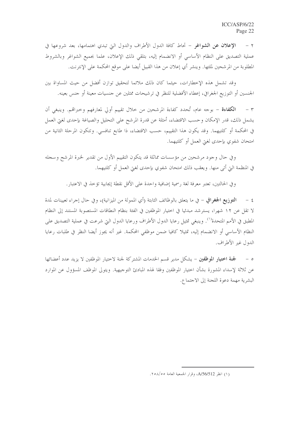الإعلان عن الشواغر – تحاط كافة الدول الأطراف والدول التي تبدي اهتمامها، بعد شروعها في  $-7$ عملية التصديق على النظام الأساسي أو الانضمام إليه، بتلقى ذلك الإعلان، علما بجميع الشواغر وبالشروط المطلوبة من المرشحين لملئها. وينشر أي إعلان من هذا القبيل أيضا على موقع المحكمة على الإنترنت.

وقد تشمل هذه الإخطارات، حيثما كان ذلك ملائما لتحقيق توازن أفضل من حيث المساواة بين الجنسين أو التوزيع الجغرافي، إعطاء الأفضلية للنظر في ترشيحات ممثلين عن حنسيات معينة أو حنس بعينه.

الكفاءة – بوجه عام، تُحدد كفاءة المرشحين من حلال تقييم أولى لمعارفهم وحبراقم. وينبغي أن  $\tau$ يشمل ذلك، قدر الإمكان وحسب الاقتضاء، أمثلة عن قدرة المرشح على التحليل والصياغة بإحدى لغيّ العمل في المحكمة أو كلتيهما. وقد يكون هذا التقييم، حسب الاقتضاء، ذا طابع تنافسي. وتتكون المرحلة الثانية من امتحان شفوي بإحدى لغبت العمل أو كلتيهما.

وفي حال وجود مرشحين من مؤسسات مماثلة قد يتكون التقييم الأول من تقدير لخبرة المرشح وسجله في المنظمة التي أتى منها. ويعقب ذلك امتحان شفوي بإحدى لغتي العمل أو كلتيهما.

وفي الحالتين، تعتبر معرفة لغة رسمية إضافية واحدة على الأقل نقطة إيجابية تؤخذ في الاعتبار .

٤ – التوزيع الجغرافي – في ما يتعلق بالوظائف الثابتة (أي الممولة من الميزانية)، وفي حال إجراء تعيينات لمدة لا تقلَّ عن ١٢ شهرا، يسترشد مبدئيا في اختيار الموظفين في الفئة بنظام النطاقات المستصوبة المستند إلى النظام المطبق في الأمم المتحدة'''. وينبغي تمثيل رعايا الدول الأطراف ورعايا الدول التي شرعت في عملية التصديق على النظام الأساسي أو الانضمام إليه، تمثيلا كافيا ضمن موظفي المحكمة. غير أنه يجوز أيضا النظر في طلبات رعايا الدول غير الأطراف.

ه – جنة اختيار الموظفين – يشكل مدير قسم الخدمات المشتركة لجنة لاختيار الموظفين لا يزيد عدد أعضائها عن ثلاثة لإسداء المشورة بشأن اختيار الموظفين وفقا لهذه المبادئ التوجيهية. ويتولى الموظف المسؤول عن الموارد البشرية مهمة دعوة اللجنة إلى الاجتماع.

<sup>(</sup>١) انظر A/56/512، وقرار الجمعية العامة ٢٥٨/٥٥.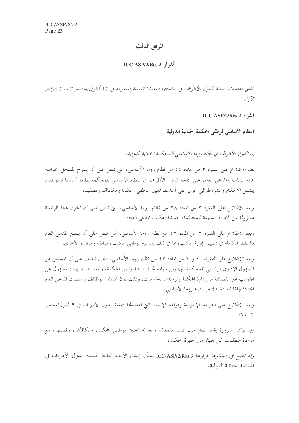# المرفق الثالث

### $\text{ICC-ASP/2/Res.2}$  القو اد

الذي اعتمدته جمعية الدول الأطراف في حلستها العامة الخامسة المعقودة في ١٢ أيلول/سبتمبر ٢٠٠٣ بتوافق  $51, \tilde{y}$ 

القرار ICC-ASP/2/Res.2

النظام الأساسي لموظفي المحكمة الجنائية الدولية

إن الدول الأطراف في نظام روما الأساسي للمحكمة الجنائية الدولية،

بع*د الاطلاع ع*لى الفقرة ٣ من المادة ٤٤ من نظام روما الأساسي، التي تنص على أن يقترح المسجل، بموافقة هيئة الرئاسة والمدعى العام، على جمعية الدول الأطراف في النظام الأساسي للمحكمة نظاما أساسيا للموظفين يشمل الأحكام والشروط التي يجري على أساسها تعيين موظفي المحكمة ومكافأقمم وفصلهم،

وبع*د الاطلاع* على الفقرة ٣ من المادة ٣٨ من نظام روما الأساسي، التي تنص على أن تكون هيئة الرئاسة مسؤولة عن الإدارة السليمة للمحكمة، باستثناء مكتب المدعى العام،

*وبعد الاطلاع* على الفقرة ٢ من المادة ٤٢ من نظام روما الأساسي، التي تنص على أن يتمتع المدعى العام بالسلطة الكاملة في تنظيم وإدارة المكتب، بما في ذلك بالنسبة لموظفي المكتب ومرافقه وموارده الأخرى،

*وبعد الاطلاع* على الفقرتين ١ و ٢ من المادة ٤٣ من نظام روما الأساسي، اللتين تنصان على أن المسجل هو المسؤول الإداري الرئيسي للمحكمة، ويمارس مهامه تحت سلطة رئيس المحكمة، وأنه، بناء عليهما، مسؤول عن الجوانب غير القضائية من إدارة المحكمة وتزويدها بالخدمات، وذلك دون المساس بوظائف وسلطات المدعى العام المحددة وفقا للمادة ٤٢ من نظام روما الأساسي،

وبع*د الاطلاع* على القواعد الإجرائية وقواعد الإثبات التي اعتمدها جمعية الدول الأطراف في ٩ أيلول/سبتمبر  $cY + Y$ 

*وإذ تؤكد ض*رورة إقامة نظام مرن يتسم بالفعالية والعدالة لتعيين موظفي المحكمة، ومكافأقم، وفصلهم، مع مراعاة متطلبات كل جهاز من أجهزة المحكمة،

وإذ تضع في اعتبارها قرارها ICC-ASP/2/Res.3 بشأن إنشاء الأمانة الثابتة لجمعية الدول الأطراف في المحكمة الجنائية الدولية،